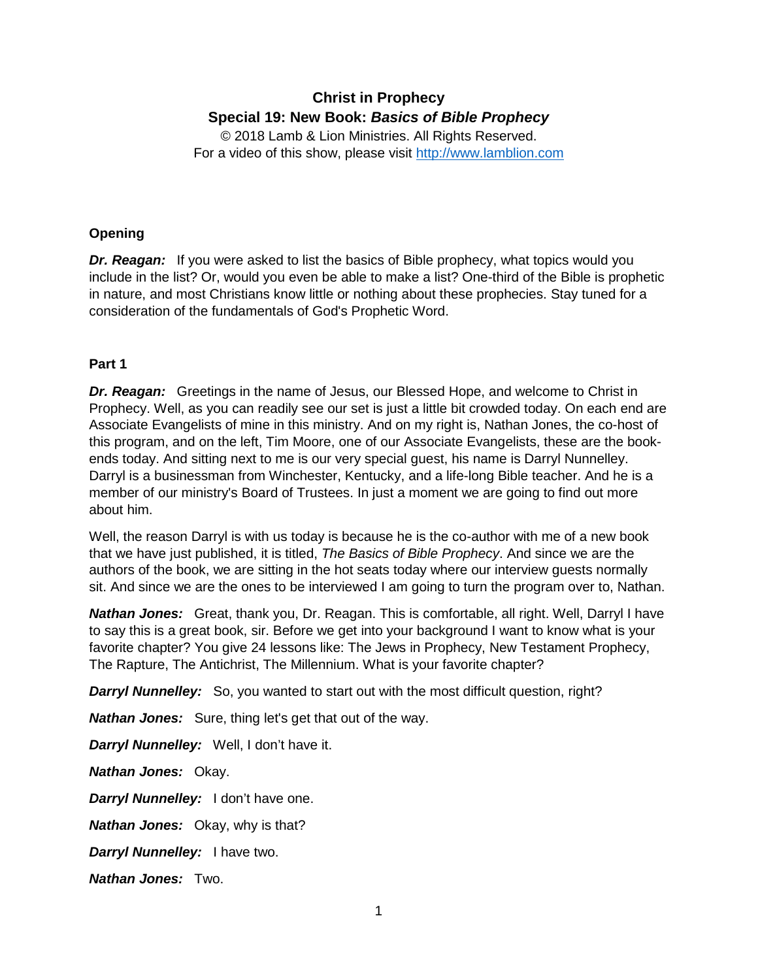# **Christ in Prophecy Special 19: New Book:** *Basics of Bible Prophecy*

© 2018 Lamb & Lion Ministries. All Rights Reserved. For a video of this show, please visit [http://www.lamblion.com](http://www.lamblion.com/)

# **Opening**

*Dr. Reagan:* If you were asked to list the basics of Bible prophecy, what topics would you include in the list? Or, would you even be able to make a list? One-third of the Bible is prophetic in nature, and most Christians know little or nothing about these prophecies. Stay tuned for a consideration of the fundamentals of God's Prophetic Word.

# **Part 1**

*Dr. Reagan:* Greetings in the name of Jesus, our Blessed Hope, and welcome to Christ in Prophecy. Well, as you can readily see our set is just a little bit crowded today. On each end are Associate Evangelists of mine in this ministry. And on my right is, Nathan Jones, the co-host of this program, and on the left, Tim Moore, one of our Associate Evangelists, these are the bookends today. And sitting next to me is our very special guest, his name is Darryl Nunnelley. Darryl is a businessman from Winchester, Kentucky, and a life-long Bible teacher. And he is a member of our ministry's Board of Trustees. In just a moment we are going to find out more about him.

Well, the reason Darryl is with us today is because he is the co-author with me of a new book that we have just published, it is titled, *The Basics of Bible Prophecy*. And since we are the authors of the book, we are sitting in the hot seats today where our interview guests normally sit. And since we are the ones to be interviewed I am going to turn the program over to, Nathan.

*Nathan Jones:* Great, thank you, Dr. Reagan. This is comfortable, all right. Well, Darryl I have to say this is a great book, sir. Before we get into your background I want to know what is your favorite chapter? You give 24 lessons like: The Jews in Prophecy, New Testament Prophecy, The Rapture, The Antichrist, The Millennium. What is your favorite chapter?

**Darryl Nunnelley:** So, you wanted to start out with the most difficult question, right?

*Nathan Jones:* Sure, thing let's get that out of the way.

*Darryl Nunnelley:* Well, I don't have it.

*Nathan Jones:* Okay.

*Darryl Nunnelley:* I don't have one.

*Nathan Jones:* Okay, why is that?

*Darryl Nunnelley:* I have two.

*Nathan Jones:* Two.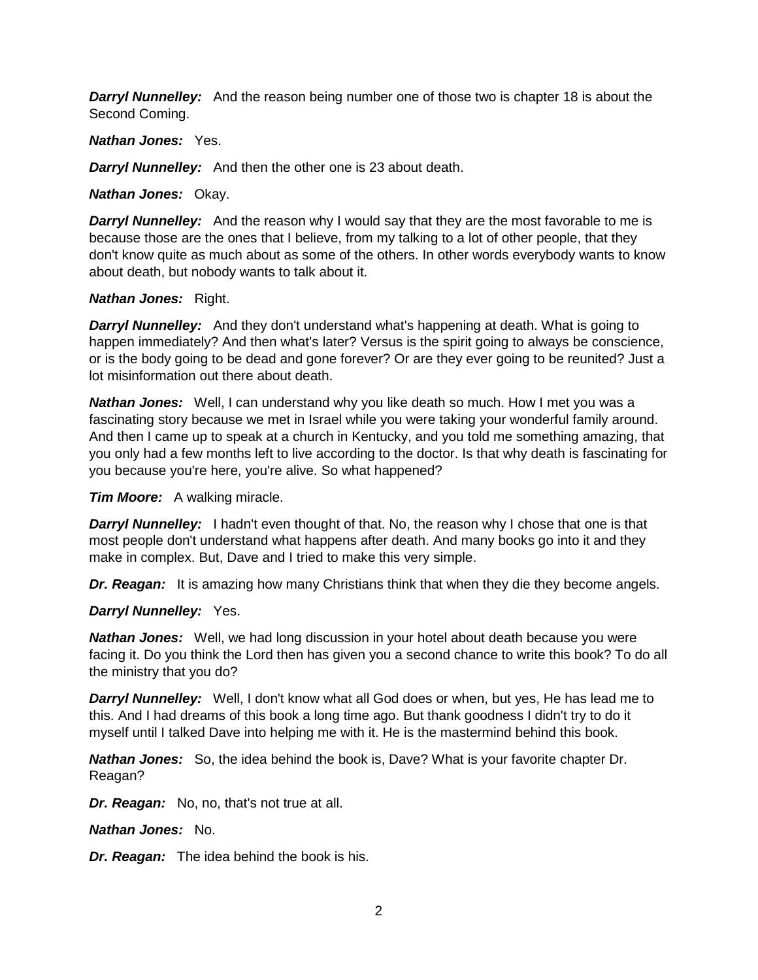**Darryl Nunnelley:** And the reason being number one of those two is chapter 18 is about the Second Coming.

## *Nathan Jones:* Yes.

**Darryl Nunnelley:** And then the other one is 23 about death.

*Nathan Jones:* Okay.

**Darryl Nunnelley:** And the reason why I would say that they are the most favorable to me is because those are the ones that I believe, from my talking to a lot of other people, that they don't know quite as much about as some of the others. In other words everybody wants to know about death, but nobody wants to talk about it.

## *Nathan Jones:* Right.

**Darryl Nunnelley:** And they don't understand what's happening at death. What is going to happen immediately? And then what's later? Versus is the spirit going to always be conscience, or is the body going to be dead and gone forever? Or are they ever going to be reunited? Just a lot misinformation out there about death.

*Nathan Jones:* Well, I can understand why you like death so much. How I met you was a fascinating story because we met in Israel while you were taking your wonderful family around. And then I came up to speak at a church in Kentucky, and you told me something amazing, that you only had a few months left to live according to the doctor. Is that why death is fascinating for you because you're here, you're alive. So what happened?

*Tim Moore:* A walking miracle.

**Darryl Nunnelley:** I hadn't even thought of that. No, the reason why I chose that one is that most people don't understand what happens after death. And many books go into it and they make in complex. But, Dave and I tried to make this very simple.

**Dr. Reagan:** It is amazing how many Christians think that when they die they become angels.

*Darryl Nunnelley:* Yes.

*Nathan Jones:* Well, we had long discussion in your hotel about death because you were facing it. Do you think the Lord then has given you a second chance to write this book? To do all the ministry that you do?

*Darryl Nunnelley:* Well, I don't know what all God does or when, but yes, He has lead me to this. And I had dreams of this book a long time ago. But thank goodness I didn't try to do it myself until I talked Dave into helping me with it. He is the mastermind behind this book.

*Nathan Jones:* So, the idea behind the book is, Dave? What is your favorite chapter Dr. Reagan?

*Dr. Reagan:* No, no, that's not true at all.

*Nathan Jones:* No.

*Dr. Reagan:* The idea behind the book is his.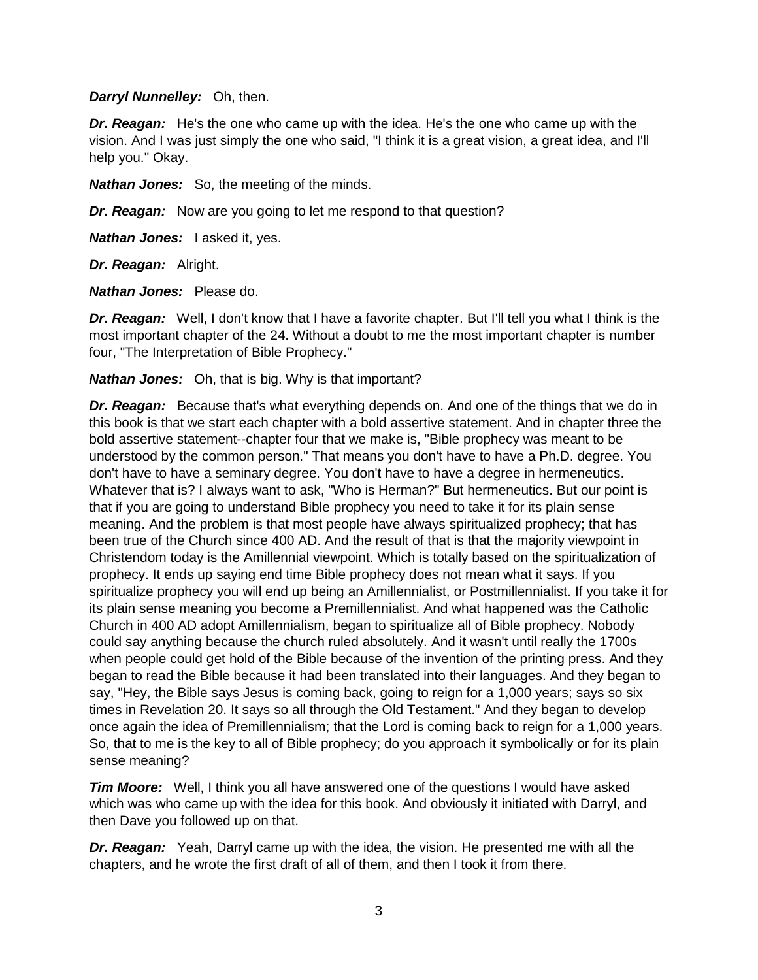## *Darryl Nunnelley:* Oh, then.

*Dr. Reagan:* He's the one who came up with the idea. He's the one who came up with the vision. And I was just simply the one who said, "I think it is a great vision, a great idea, and I'll help you." Okay.

*Nathan Jones:* So, the meeting of the minds.

*Dr. Reagan:* Now are you going to let me respond to that question?

*Nathan Jones:* I asked it, yes.

*Dr. Reagan:* Alright.

*Nathan Jones:* Please do.

*Dr. Reagan:* Well, I don't know that I have a favorite chapter. But I'll tell you what I think is the most important chapter of the 24. Without a doubt to me the most important chapter is number four, "The Interpretation of Bible Prophecy."

#### *Nathan Jones:* Oh, that is big. Why is that important?

*Dr. Reagan:* Because that's what everything depends on. And one of the things that we do in this book is that we start each chapter with a bold assertive statement. And in chapter three the bold assertive statement--chapter four that we make is, "Bible prophecy was meant to be understood by the common person." That means you don't have to have a Ph.D. degree. You don't have to have a seminary degree. You don't have to have a degree in hermeneutics. Whatever that is? I always want to ask, "Who is Herman?" But hermeneutics. But our point is that if you are going to understand Bible prophecy you need to take it for its plain sense meaning. And the problem is that most people have always spiritualized prophecy; that has been true of the Church since 400 AD. And the result of that is that the majority viewpoint in Christendom today is the Amillennial viewpoint. Which is totally based on the spiritualization of prophecy. It ends up saying end time Bible prophecy does not mean what it says. If you spiritualize prophecy you will end up being an Amillennialist, or Postmillennialist. If you take it for its plain sense meaning you become a Premillennialist. And what happened was the Catholic Church in 400 AD adopt Amillennialism, began to spiritualize all of Bible prophecy. Nobody could say anything because the church ruled absolutely. And it wasn't until really the 1700s when people could get hold of the Bible because of the invention of the printing press. And they began to read the Bible because it had been translated into their languages. And they began to say, "Hey, the Bible says Jesus is coming back, going to reign for a 1,000 years; says so six times in Revelation 20. It says so all through the Old Testament." And they began to develop once again the idea of Premillennialism; that the Lord is coming back to reign for a 1,000 years. So, that to me is the key to all of Bible prophecy; do you approach it symbolically or for its plain sense meaning?

*Tim Moore:* Well, I think you all have answered one of the questions I would have asked which was who came up with the idea for this book. And obviously it initiated with Darryl, and then Dave you followed up on that.

*Dr. Reagan:* Yeah, Darryl came up with the idea, the vision. He presented me with all the chapters, and he wrote the first draft of all of them, and then I took it from there.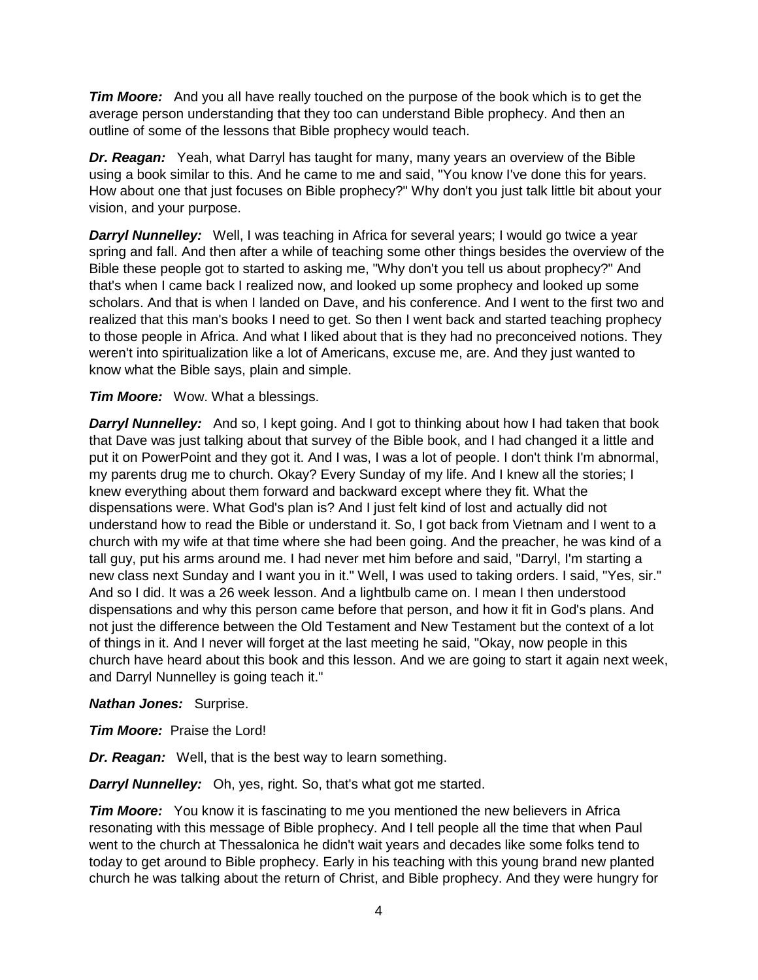*Tim Moore:* And you all have really touched on the purpose of the book which is to get the average person understanding that they too can understand Bible prophecy. And then an outline of some of the lessons that Bible prophecy would teach.

*Dr. Reagan:* Yeah, what Darryl has taught for many, many years an overview of the Bible using a book similar to this. And he came to me and said, "You know I've done this for years. How about one that just focuses on Bible prophecy?" Why don't you just talk little bit about your vision, and your purpose.

**Darryl Nunnelley:** Well, I was teaching in Africa for several years; I would go twice a year spring and fall. And then after a while of teaching some other things besides the overview of the Bible these people got to started to asking me, "Why don't you tell us about prophecy?" And that's when I came back I realized now, and looked up some prophecy and looked up some scholars. And that is when I landed on Dave, and his conference. And I went to the first two and realized that this man's books I need to get. So then I went back and started teaching prophecy to those people in Africa. And what I liked about that is they had no preconceived notions. They weren't into spiritualization like a lot of Americans, excuse me, are. And they just wanted to know what the Bible says, plain and simple.

*Tim Moore:* Wow. What a blessings.

**Darryl Nunnelley:** And so, I kept going. And I got to thinking about how I had taken that book that Dave was just talking about that survey of the Bible book, and I had changed it a little and put it on PowerPoint and they got it. And I was, I was a lot of people. I don't think I'm abnormal, my parents drug me to church. Okay? Every Sunday of my life. And I knew all the stories; I knew everything about them forward and backward except where they fit. What the dispensations were. What God's plan is? And I just felt kind of lost and actually did not understand how to read the Bible or understand it. So, I got back from Vietnam and I went to a church with my wife at that time where she had been going. And the preacher, he was kind of a tall guy, put his arms around me. I had never met him before and said, "Darryl, I'm starting a new class next Sunday and I want you in it." Well, I was used to taking orders. I said, "Yes, sir." And so I did. It was a 26 week lesson. And a lightbulb came on. I mean I then understood dispensations and why this person came before that person, and how it fit in God's plans. And not just the difference between the Old Testament and New Testament but the context of a lot of things in it. And I never will forget at the last meeting he said, "Okay, now people in this church have heard about this book and this lesson. And we are going to start it again next week, and Darryl Nunnelley is going teach it."

*Nathan Jones:* Surprise.

*Tim Moore:* Praise the Lord!

*Dr. Reagan:* Well, that is the best way to learn something.

*Darryl Nunnelley:* Oh, yes, right. So, that's what got me started.

*Tim Moore:* You know it is fascinating to me you mentioned the new believers in Africa resonating with this message of Bible prophecy. And I tell people all the time that when Paul went to the church at Thessalonica he didn't wait years and decades like some folks tend to today to get around to Bible prophecy. Early in his teaching with this young brand new planted church he was talking about the return of Christ, and Bible prophecy. And they were hungry for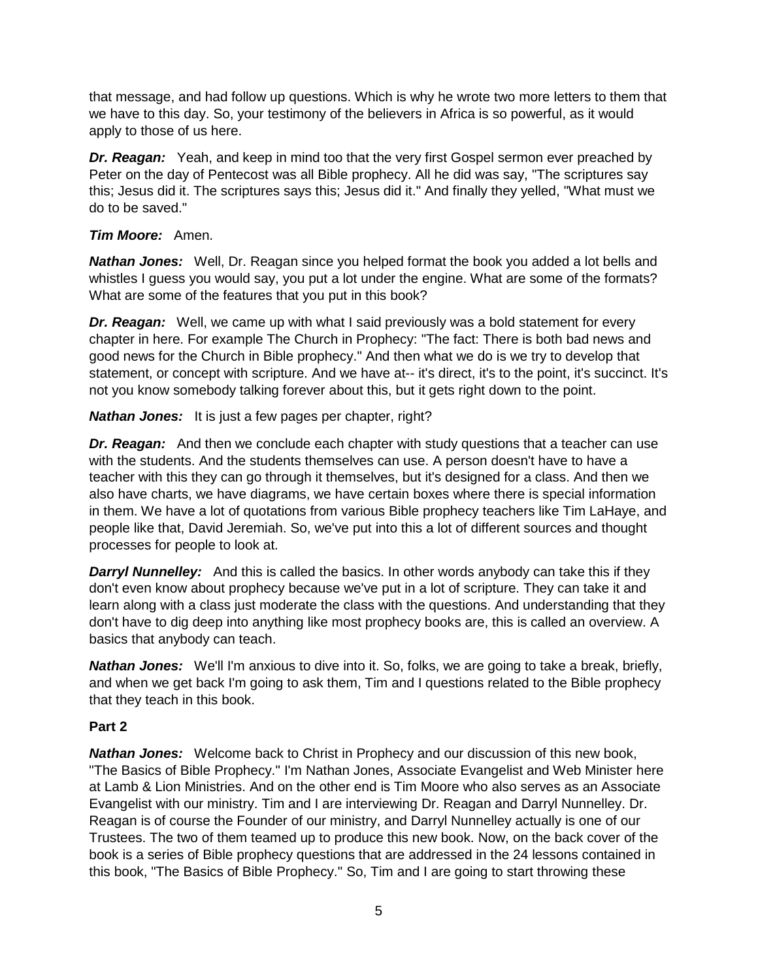that message, and had follow up questions. Which is why he wrote two more letters to them that we have to this day. So, your testimony of the believers in Africa is so powerful, as it would apply to those of us here.

*Dr. Reagan:* Yeah, and keep in mind too that the very first Gospel sermon ever preached by Peter on the day of Pentecost was all Bible prophecy. All he did was say, "The scriptures say this; Jesus did it. The scriptures says this; Jesus did it." And finally they yelled, "What must we do to be saved."

# *Tim Moore:* Amen.

*Nathan Jones:* Well, Dr. Reagan since you helped format the book you added a lot bells and whistles I guess you would say, you put a lot under the engine. What are some of the formats? What are some of the features that you put in this book?

*Dr. Reagan:* Well, we came up with what I said previously was a bold statement for every chapter in here. For example The Church in Prophecy: "The fact: There is both bad news and good news for the Church in Bible prophecy." And then what we do is we try to develop that statement, or concept with scripture. And we have at-- it's direct, it's to the point, it's succinct. It's not you know somebody talking forever about this, but it gets right down to the point.

*Nathan Jones:* It is just a few pages per chapter, right?

*Dr. Reagan:* And then we conclude each chapter with study questions that a teacher can use with the students. And the students themselves can use. A person doesn't have to have a teacher with this they can go through it themselves, but it's designed for a class. And then we also have charts, we have diagrams, we have certain boxes where there is special information in them. We have a lot of quotations from various Bible prophecy teachers like Tim LaHaye, and people like that, David Jeremiah. So, we've put into this a lot of different sources and thought processes for people to look at.

**Darryl Nunnelley:** And this is called the basics. In other words anybody can take this if they don't even know about prophecy because we've put in a lot of scripture. They can take it and learn along with a class just moderate the class with the questions. And understanding that they don't have to dig deep into anything like most prophecy books are, this is called an overview. A basics that anybody can teach.

*Nathan Jones:* We'll I'm anxious to dive into it. So, folks, we are going to take a break, briefly, and when we get back I'm going to ask them, Tim and I questions related to the Bible prophecy that they teach in this book.

# **Part 2**

*Nathan Jones:* Welcome back to Christ in Prophecy and our discussion of this new book, "The Basics of Bible Prophecy." I'm Nathan Jones, Associate Evangelist and Web Minister here at Lamb & Lion Ministries. And on the other end is Tim Moore who also serves as an Associate Evangelist with our ministry. Tim and I are interviewing Dr. Reagan and Darryl Nunnelley. Dr. Reagan is of course the Founder of our ministry, and Darryl Nunnelley actually is one of our Trustees. The two of them teamed up to produce this new book. Now, on the back cover of the book is a series of Bible prophecy questions that are addressed in the 24 lessons contained in this book, "The Basics of Bible Prophecy." So, Tim and I are going to start throwing these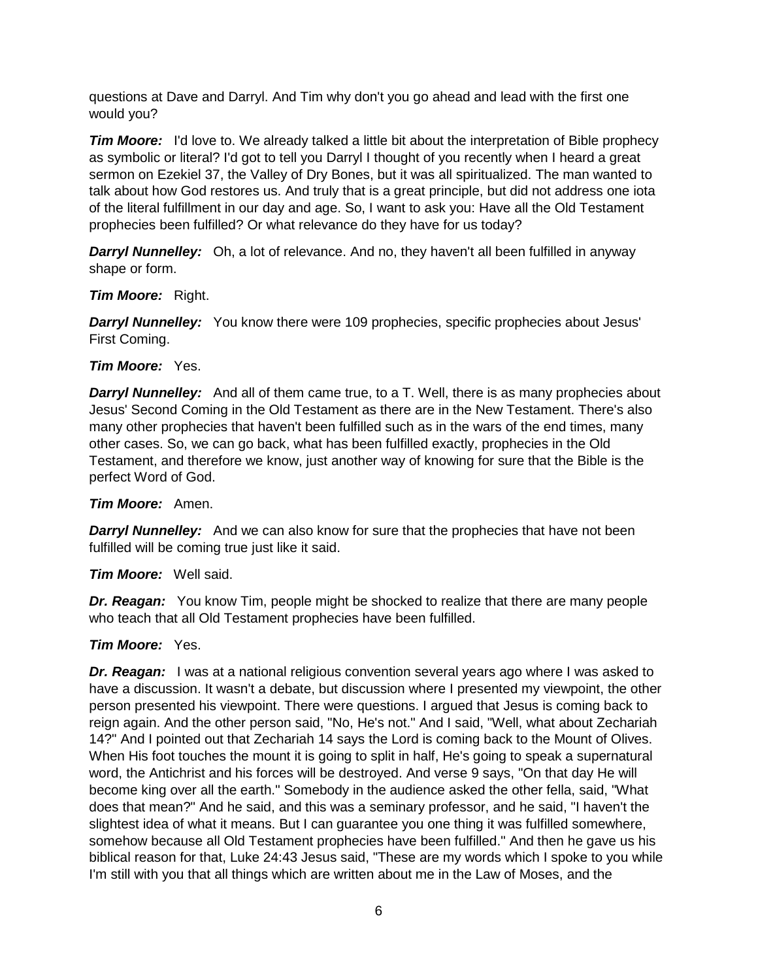questions at Dave and Darryl. And Tim why don't you go ahead and lead with the first one would you?

*Tim Moore:* I'd love to. We already talked a little bit about the interpretation of Bible prophecy as symbolic or literal? I'd got to tell you Darryl I thought of you recently when I heard a great sermon on Ezekiel 37, the Valley of Dry Bones, but it was all spiritualized. The man wanted to talk about how God restores us. And truly that is a great principle, but did not address one iota of the literal fulfillment in our day and age. So, I want to ask you: Have all the Old Testament prophecies been fulfilled? Or what relevance do they have for us today?

**Darryl Nunnelley:** Oh, a lot of relevance. And no, they haven't all been fulfilled in anyway shape or form.

*Tim Moore:* Right.

**Darryl Nunnelley:** You know there were 109 prophecies, specific prophecies about Jesus' First Coming.

## *Tim Moore:* Yes.

**Darryl Nunnelley:** And all of them came true, to a T. Well, there is as many prophecies about Jesus' Second Coming in the Old Testament as there are in the New Testament. There's also many other prophecies that haven't been fulfilled such as in the wars of the end times, many other cases. So, we can go back, what has been fulfilled exactly, prophecies in the Old Testament, and therefore we know, just another way of knowing for sure that the Bible is the perfect Word of God.

## *Tim Moore:* Amen.

**Darryl Nunnelley:** And we can also know for sure that the prophecies that have not been fulfilled will be coming true just like it said.

*Tim Moore:* Well said.

*Dr. Reagan:* You know Tim, people might be shocked to realize that there are many people who teach that all Old Testament prophecies have been fulfilled.

# *Tim Moore:* Yes.

*Dr. Reagan:* I was at a national religious convention several years ago where I was asked to have a discussion. It wasn't a debate, but discussion where I presented my viewpoint, the other person presented his viewpoint. There were questions. I argued that Jesus is coming back to reign again. And the other person said, "No, He's not." And I said, "Well, what about Zechariah 14?" And I pointed out that Zechariah 14 says the Lord is coming back to the Mount of Olives. When His foot touches the mount it is going to split in half, He's going to speak a supernatural word, the Antichrist and his forces will be destroyed. And verse 9 says, "On that day He will become king over all the earth." Somebody in the audience asked the other fella, said, "What does that mean?" And he said, and this was a seminary professor, and he said, "I haven't the slightest idea of what it means. But I can guarantee you one thing it was fulfilled somewhere, somehow because all Old Testament prophecies have been fulfilled." And then he gave us his biblical reason for that, Luke 24:43 Jesus said, "These are my words which I spoke to you while I'm still with you that all things which are written about me in the Law of Moses, and the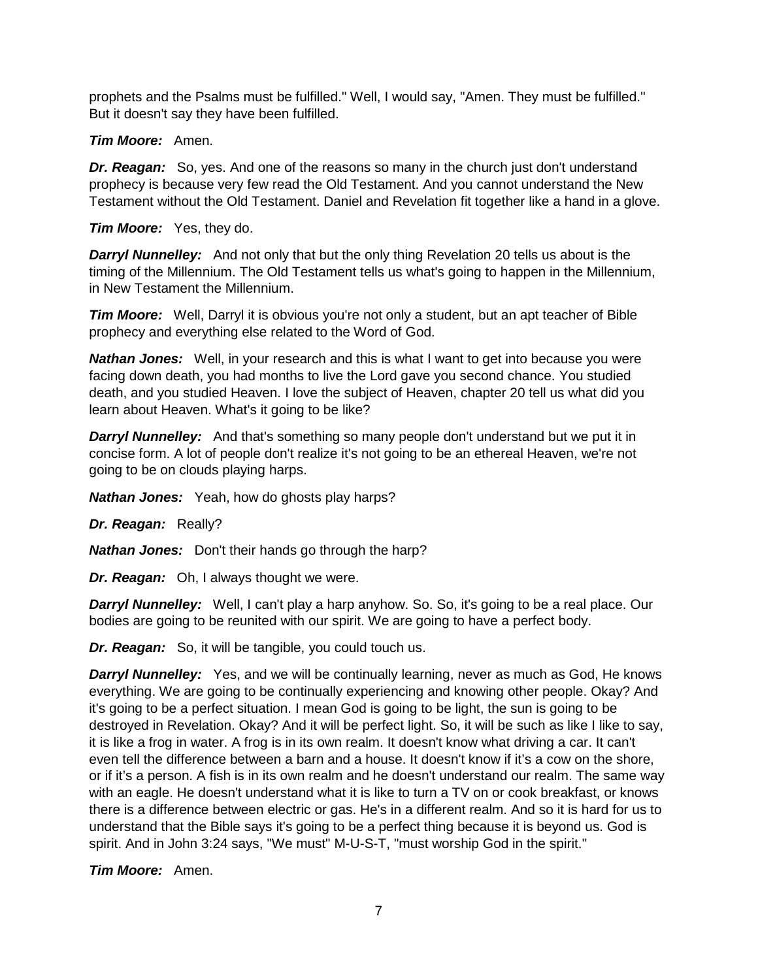prophets and the Psalms must be fulfilled." Well, I would say, "Amen. They must be fulfilled." But it doesn't say they have been fulfilled.

# *Tim Moore:* Amen.

*Dr. Reagan:* So, yes. And one of the reasons so many in the church just don't understand prophecy is because very few read the Old Testament. And you cannot understand the New Testament without the Old Testament. Daniel and Revelation fit together like a hand in a glove.

# *Tim Moore:* Yes, they do.

**Darryl Nunnelley:** And not only that but the only thing Revelation 20 tells us about is the timing of the Millennium. The Old Testament tells us what's going to happen in the Millennium, in New Testament the Millennium.

*Tim Moore:* Well, Darryl it is obvious you're not only a student, but an apt teacher of Bible prophecy and everything else related to the Word of God.

*Nathan Jones:* Well, in your research and this is what I want to get into because you were facing down death, you had months to live the Lord gave you second chance. You studied death, and you studied Heaven. I love the subject of Heaven, chapter 20 tell us what did you learn about Heaven. What's it going to be like?

**Darryl Nunnelley:** And that's something so many people don't understand but we put it in concise form. A lot of people don't realize it's not going to be an ethereal Heaven, we're not going to be on clouds playing harps.

*Nathan Jones:* Yeah, how do ghosts play harps?

*Dr. Reagan:* Really?

*Nathan Jones:* Don't their hands go through the harp?

*Dr. Reagan:* Oh, I always thought we were.

**Darryl Nunnelley:** Well, I can't play a harp anyhow. So. So, it's going to be a real place. Our bodies are going to be reunited with our spirit. We are going to have a perfect body.

*Dr. Reagan:* So, it will be tangible, you could touch us.

**Darryl Nunnelley:** Yes, and we will be continually learning, never as much as God, He knows everything. We are going to be continually experiencing and knowing other people. Okay? And it's going to be a perfect situation. I mean God is going to be light, the sun is going to be destroyed in Revelation. Okay? And it will be perfect light. So, it will be such as like I like to say, it is like a frog in water. A frog is in its own realm. It doesn't know what driving a car. It can't even tell the difference between a barn and a house. It doesn't know if it's a cow on the shore, or if it's a person. A fish is in its own realm and he doesn't understand our realm. The same way with an eagle. He doesn't understand what it is like to turn a TV on or cook breakfast, or knows there is a difference between electric or gas. He's in a different realm. And so it is hard for us to understand that the Bible says it's going to be a perfect thing because it is beyond us. God is spirit. And in John 3:24 says, "We must" M-U-S-T, "must worship God in the spirit."

*Tim Moore:* Amen.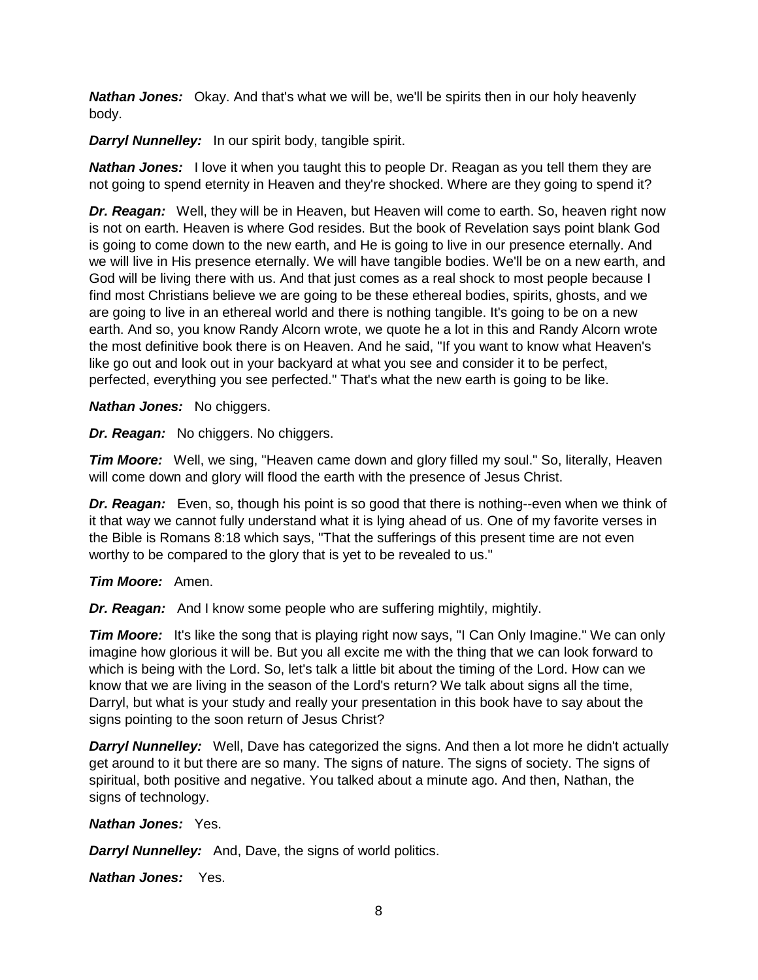*Nathan Jones:* Okay. And that's what we will be, we'll be spirits then in our holy heavenly body.

*Darryl Nunnelley:* In our spirit body, tangible spirit.

**Nathan Jones:** I love it when you taught this to people Dr. Reagan as you tell them they are not going to spend eternity in Heaven and they're shocked. Where are they going to spend it?

*Dr. Reagan:* Well, they will be in Heaven, but Heaven will come to earth. So, heaven right now is not on earth. Heaven is where God resides. But the book of Revelation says point blank God is going to come down to the new earth, and He is going to live in our presence eternally. And we will live in His presence eternally. We will have tangible bodies. We'll be on a new earth, and God will be living there with us. And that just comes as a real shock to most people because I find most Christians believe we are going to be these ethereal bodies, spirits, ghosts, and we are going to live in an ethereal world and there is nothing tangible. It's going to be on a new earth. And so, you know Randy Alcorn wrote, we quote he a lot in this and Randy Alcorn wrote the most definitive book there is on Heaven. And he said, "If you want to know what Heaven's like go out and look out in your backyard at what you see and consider it to be perfect, perfected, everything you see perfected." That's what the new earth is going to be like.

*Nathan Jones:* No chiggers.

*Dr. Reagan:* No chiggers. No chiggers.

*Tim Moore:* Well, we sing, "Heaven came down and glory filled my soul." So, literally, Heaven will come down and glory will flood the earth with the presence of Jesus Christ.

**Dr. Reagan:** Even, so, though his point is so good that there is nothing--even when we think of it that way we cannot fully understand what it is lying ahead of us. One of my favorite verses in the Bible is Romans 8:18 which says, "That the sufferings of this present time are not even worthy to be compared to the glory that is yet to be revealed to us."

*Tim Moore:* Amen.

*Dr. Reagan:* And I know some people who are suffering mightily, mightily.

*Tim Moore:* It's like the song that is playing right now says, "I Can Only Imagine." We can only imagine how glorious it will be. But you all excite me with the thing that we can look forward to which is being with the Lord. So, let's talk a little bit about the timing of the Lord. How can we know that we are living in the season of the Lord's return? We talk about signs all the time, Darryl, but what is your study and really your presentation in this book have to say about the signs pointing to the soon return of Jesus Christ?

**Darryl Nunnelley:** Well, Dave has categorized the signs. And then a lot more he didn't actually get around to it but there are so many. The signs of nature. The signs of society. The signs of spiritual, both positive and negative. You talked about a minute ago. And then, Nathan, the signs of technology.

## *Nathan Jones:* Yes.

*Darryl Nunnelley:* And, Dave, the signs of world politics.

*Nathan Jones:* Yes.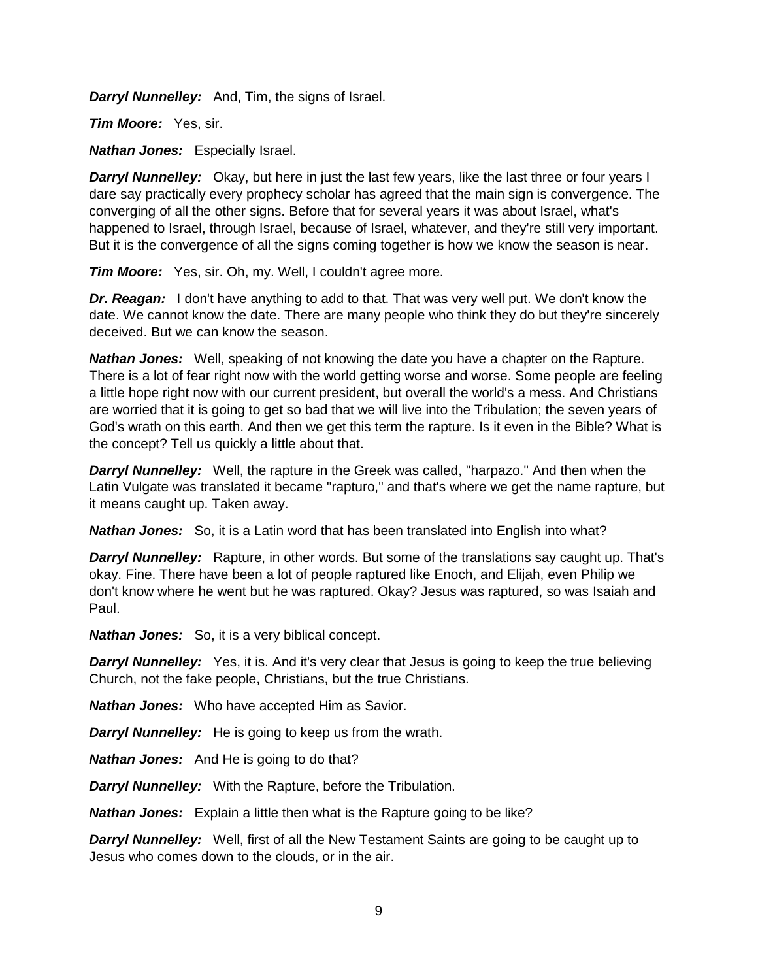*Darryl Nunnelley:* And, Tim, the signs of Israel.

*Tim Moore:* Yes, sir.

*Nathan Jones:* Especially Israel.

**Darryl Nunnelley:** Okay, but here in just the last few years, like the last three or four years I dare say practically every prophecy scholar has agreed that the main sign is convergence. The converging of all the other signs. Before that for several years it was about Israel, what's happened to Israel, through Israel, because of Israel, whatever, and they're still very important. But it is the convergence of all the signs coming together is how we know the season is near.

*Tim Moore:* Yes, sir. Oh, my. Well, I couldn't agree more.

**Dr. Reagan:** I don't have anything to add to that. That was very well put. We don't know the date. We cannot know the date. There are many people who think they do but they're sincerely deceived. But we can know the season.

*Nathan Jones:* Well, speaking of not knowing the date you have a chapter on the Rapture. There is a lot of fear right now with the world getting worse and worse. Some people are feeling a little hope right now with our current president, but overall the world's a mess. And Christians are worried that it is going to get so bad that we will live into the Tribulation; the seven years of God's wrath on this earth. And then we get this term the rapture. Is it even in the Bible? What is the concept? Tell us quickly a little about that.

*Darryl Nunnelley:* Well, the rapture in the Greek was called, "harpazo." And then when the Latin Vulgate was translated it became "rapturo," and that's where we get the name rapture, but it means caught up. Taken away.

*Nathan Jones:* So, it is a Latin word that has been translated into English into what?

**Darryl Nunnelley:** Rapture, in other words. But some of the translations say caught up. That's okay. Fine. There have been a lot of people raptured like Enoch, and Elijah, even Philip we don't know where he went but he was raptured. Okay? Jesus was raptured, so was Isaiah and Paul.

*Nathan Jones:* So, it is a very biblical concept.

**Darryl Nunnelley:** Yes, it is. And it's very clear that Jesus is going to keep the true believing Church, not the fake people, Christians, but the true Christians.

*Nathan Jones:* Who have accepted Him as Savior.

*Darryl Nunnelley:* He is going to keep us from the wrath.

*Nathan Jones:* And He is going to do that?

*Darryl Nunnelley:* With the Rapture, before the Tribulation.

*Nathan Jones:* Explain a little then what is the Rapture going to be like?

**Darryl Nunnelley:** Well, first of all the New Testament Saints are going to be caught up to Jesus who comes down to the clouds, or in the air.